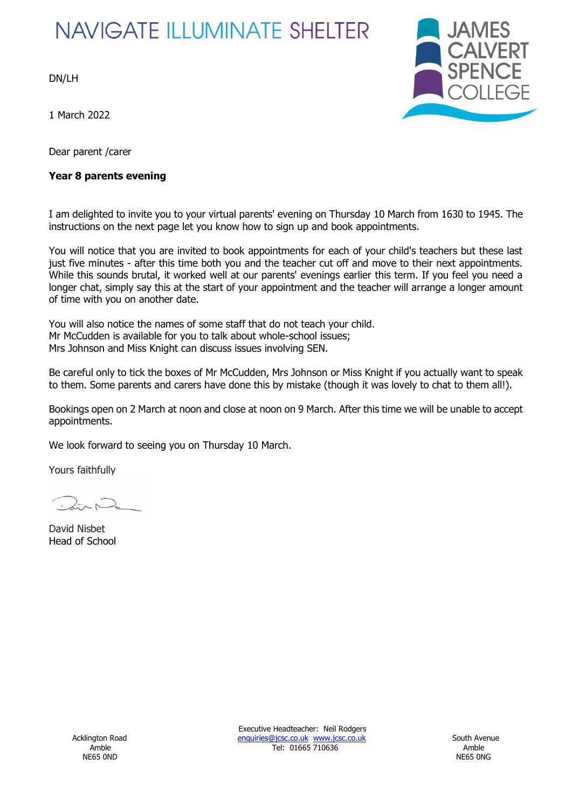# **NAVIGATE ILLUMINATE SHELTER**

DN/LH

1 March 2022

Dear parent /carer

#### **Year 8 parents evening**



I am delighted to invite you to your virtual parents' evening on Thursday 10 March from 1630 to 1945. The instructions on the next page let you know how to sign up and book appointments.

You will notice that you are invited to book appointments for each of your child's teachers but these last just five minutes - after this time both you and the teacher cut off and move to their next appointments. While this sounds brutal, it worked well at our parents' evenings earlier this term. If you feel you need a longer chat, simply say this at the start of your appointment and the teacher will arrange a longer amount of time with you on another date.

You will also notice the names of some staff that do not teach your child. Mr McCudden is available for you to talk about whole-school issues; Mrs Johnson and Miss Knight can discuss issues involving SEN.

Be careful only to tick the boxes of Mr McCudden, Mrs Johnson or Miss Knight if you actually want to speak to them. Some parents and carers have done this by mistake (though it was lovely to chat to them all!).

Bookings open on 2 March at noon and close at noon on 9 March. After this time we will be unable to accept appointments.

We look forward to seeing you on Thursday 10 March.

Yours faithfully

David Nisbet Head of School

Executive Headteacher: Neil Rodgers Acklington Road **Enquiries@jcsc.co.uk www.jcsc.co.uk** South Avenue Amble **Amble** 2016 2017 12: 01665 710636 2017 12: 01665 710636